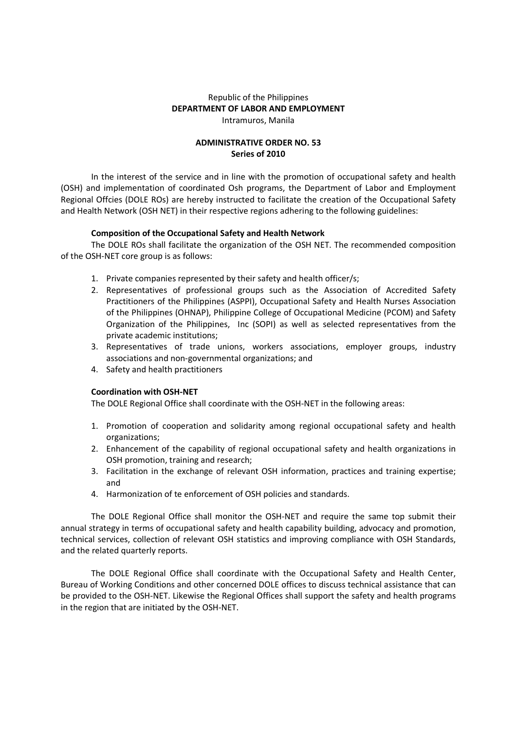## Republic of the Philippines **DEPARTMENT OF LABOR AND EMPLOYMENT**  Intramuros, Manila

## **ADMINISTRATIVE ORDER NO. 53 Series of 2010**

In the interest of the service and in line with the promotion of occupational safety and health (OSH) and implementation of coordinated Osh programs, the Department of Labor and Employment Regional Offcies (DOLE ROs) are hereby instructed to facilitate the creation of the Occupational Safety and Health Network (OSH NET) in their respective regions adhering to the following guidelines:

## **Composition of the Occupational Safety and Health Network**

The DOLE ROs shall facilitate the organization of the OSH NET. The recommended composition of the OSH-NET core group is as follows:

- 1. Private companies represented by their safety and health officer/s;
- 2. Representatives of professional groups such as the Association of Accredited Safety Practitioners of the Philippines (ASPPI), Occupational Safety and Health Nurses Association of the Philippines (OHNAP), Philippine College of Occupational Medicine (PCOM) and Safety Organization of the Philippines, Inc (SOPI) as well as selected representatives from the private academic institutions;
- 3. Representatives of trade unions, workers associations, employer groups, industry associations and non-governmental organizations; and
- 4. Safety and health practitioners

## **Coordination with OSH-NET**

The DOLE Regional Office shall coordinate with the OSH-NET in the following areas:

- 1. Promotion of cooperation and solidarity among regional occupational safety and health organizations;
- 2. Enhancement of the capability of regional occupational safety and health organizations in OSH promotion, training and research;
- 3. Facilitation in the exchange of relevant OSH information, practices and training expertise; and
- 4. Harmonization of te enforcement of OSH policies and standards.

The DOLE Regional Office shall monitor the OSH-NET and require the same top submit their annual strategy in terms of occupational safety and health capability building, advocacy and promotion, technical services, collection of relevant OSH statistics and improving compliance with OSH Standards, and the related quarterly reports.

The DOLE Regional Office shall coordinate with the Occupational Safety and Health Center, Bureau of Working Conditions and other concerned DOLE offices to discuss technical assistance that can be provided to the OSH-NET. Likewise the Regional Offices shall support the safety and health programs in the region that are initiated by the OSH-NET.